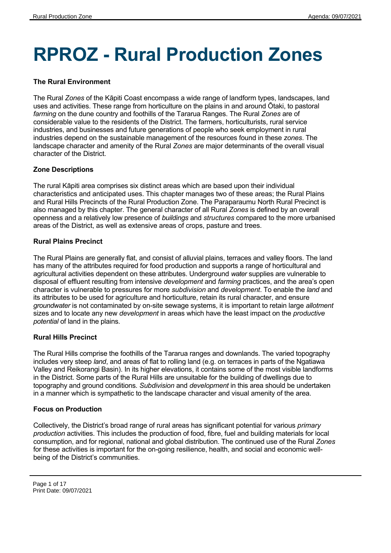# **RPROZ - Rural Production Zones**

# **The Rural Environment**

The Rural *Zones* of the Kāpiti Coast encompass a wide range of landform types, landscapes, land uses and activities. These range from horticulture on the plains in and around Ōtaki, to pastoral *farming* on the dune country and foothills of the Tararua Ranges. The Rural *Zones* are of considerable value to the residents of the District. The farmers, horticulturists, rural service industries, and businesses and future generations of people who seek employment in rural industries depend on the sustainable management of the resources found in these *zones*. The landscape character and amenity of the Rural *Zones* are major determinants of the overall visual character of the District.

#### **Zone Descriptions**

The rural Kāpiti area comprises six distinct areas which are based upon their individual characteristics and anticipated uses. This chapter manages two of these areas; the Rural Plains and Rural Hills Precincts of the Rural Production Zone. The Paraparaumu North Rural Precinct is also managed by this chapter. The general character of all Rural *Zones* is defined by an overall openness and a relatively low presence of *buildings* and *structures* compared to the more urbanised areas of the District, as well as extensive areas of crops, pasture and trees.

#### **Rural Plains Precinct**

The Rural Plains are generally flat, and consist of alluvial plains, terraces and valley floors. The land has many of the attributes required for food production and supports a range of horticultural and agricultural activities dependent on these attributes. Underground *water* supplies are vulnerable to disposal of effluent resulting from intensive *development* and *farming* practices, and the area's open character is vulnerable to pressures for more *subdivision* and *development*. To enable the *land* and its attributes to be used for agriculture and horticulture, retain its rural character, and ensure *groundwater* is not contaminated by on-site sewage systems, it is important to retain large *allotment* sizes and to locate any new *development* in areas which have the least impact on the *productive potential* of land in the plains.

# **Rural Hills Precinct**

The Rural Hills comprise the foothills of the Tararua ranges and downlands. The varied topography includes very steep *land*, and areas of flat to rolling land (e.g. on terraces in parts of the Ngatiawa Valley and Reikorangi Basin). In its higher elevations, it contains some of the most visible landforms in the District. Some parts of the Rural Hills are unsuitable for the building of dwellings due to topography and ground conditions. *Subdivision* and *development* in this area should be undertaken in a manner which is sympathetic to the landscape character and visual amenity of the area.

#### **Focus on Production**

Collectively, the District's broad range of rural areas has significant potential for various *primary production* activities. This includes the production of food, fibre, fuel and building materials for local consumption, and for regional, national and global distribution. The continued use of the Rural *Zones* for these activities is important for the on-going resilience, health, and social and economic wellbeing of the District's communities.

Page 1 of 17 Print Date: 09/07/2021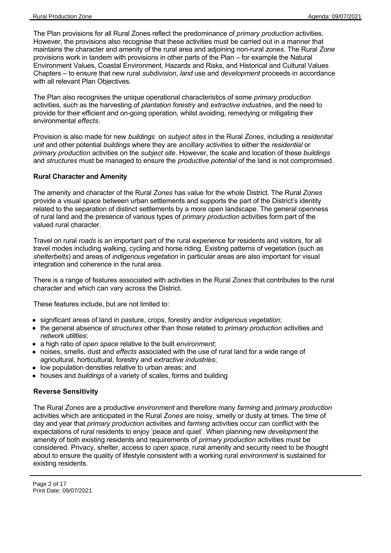The Plan provisions for all Rural Zones reflect the predominance of *primary production* activities. However, the provisions also recognise that these activities must be carried out in a manner that maintains the character and amenity of the rural area and adjoining non-rural *zones*. The Rural *Zone* provisions work in tandem with provisions in other parts of the Plan – for example the Natural Environment Values, Coastal Environment, Hazards and Risks, and Historical and Cultural Values Chapters – to ensure that new rural *subdivision*, *land* use and *development* proceeds in accordance with all relevant Plan Objectives.

The Plan also recognises the unique operational characteristics of some *primary production* activities, such as the harvesting of *plantation forestry* and *extractive industrie*s, and the need to provide for their efficient and on-going operation, whilst avoiding, remedying or mitigating their environmental *effects*.

Provision is also made for new *buildings* on *subject sites* in the Rural *Zones*, including a *residenital unit* and other potential *buildings* where they are *ancillary activities* to either the *residential* or *primary production* activities on the *subject site*. However, the scale and location of these *buildings* and *structures* must be managed to ensure the *productive potential* of the land is not compromised.

# **Rural Character and Amenity**

The amenity and character of the Rural *Zones* has value for the whole District. The Rural *Zones* provide a visual space between urban settlements and supports the part of the District's identity related to the separation of distinct settlements by a more open landscape. The general openness of rural land and the presence of various types of *primary production* activities form part of the valued rural character.

Travel on rural *roads* is an important part of the rural experience for residents and visitors, for all travel modes including walking, cycling and horse riding. Existing patterns of vegetation (such as *shelterbelts*) and areas of *indigenous vegetation* in particular areas are also important for visual integration and coherence in the rural area.

There is a range of features associated with activities in the Rural *Zones* that contributes to the rural character and which can vary across the District.

These features include, but are not limited to:

- significant areas of land in pasture, crops, forestry and/or *indigenous vegetation*;
- the general absence of *structures* other than those related to *primary production* activities and *network utilities*;
- a high ratio of *open space* relative to the built *environment*;
- noises, smells, dust and *effects* associated with the use of rural land for a wide range of agricultural, horticultural, forestry and *extractive industries*;
- low population densities relative to urban areas; and
- houses and *buildings* of a variety of scales, forms and building

# **Reverse Sensitivity**

The Rural *Zones* are a productive *environment* and therefore many *farming* and *primary production* activities which are anticipated in the Rural *Zones* are noisy, smelly or dusty at times. The time of day and year that *primary production* activities and *farming* activities occur can conflict with the expectations of rural residents to enjoy 'peace and quiet'. When planning new *development* the amenity of both existing residents and requirements of *primary production* activities must be considered. Privacy, shelter, access to *open space*, rural amenity and security need to be thought about to ensure the quality of lifestyle consistent with a working rural *environment* is sustained for existing residents.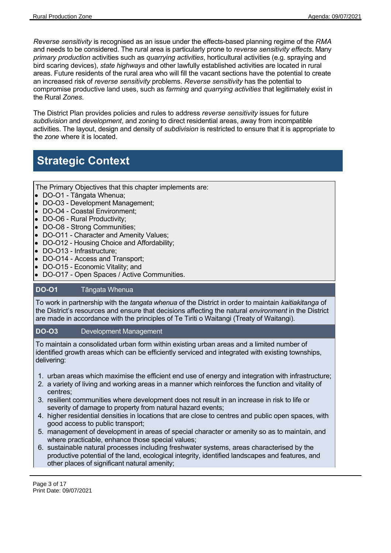*Reverse sensitivity* is recognised as an issue under the effects-based planning regime of the *RMA* and needs to be considered. The rural area is particularly prone to *reverse sensitivity effects*. Many *primary production* activities such as *quarrying activities*, horticultural activities (e.g. spraying and bird scaring devices), *state highways* and other lawfully established activities are located in rural areas. Future residents of the rural area who will fill the vacant sections have the potential to create an increased risk of *reverse sensitivity* problems. *Reverse sensitivity* has the potential to compromise productive land uses, such as *farming* and *quarrying activities* that legitimately exist in the Rural *Zones*.

The District Plan provides policies and rules to address *reverse sensitivity* issues for future *subdivision* and *development*, and zoning to direct residential areas, away from incompatible activities. The layout, design and density of *subdivision* is restricted to ensure that it is appropriate to the *zone* where it is located.

# **Strategic Context**

The Primary Objectives that this chapter implements are:

- DO-O1 Tāngata Whenua;
- DO-O3 Development Management;
- DO-O4 Coastal Environment;
- DO-O6 Rural Productivity;
- DO-O8 Strong Communities;
- DO-O11 Character and Amenity Values;
- DO-O12 Housing Choice and Affordability:
- DO-O13 Infrastructure;
- DO-O14 Access and Transport;
- DO-O15 Economic Vitality; and
- DO-O17 Open Spaces / Active Communities.

# **DO-O1** Tāngata Whenua

To work in partnership with the *tangata whenua* of the District in order to maintain *kaitiakitanga* of the District's resources and ensure that decisions affecting the natural *environment* in the District are made in accordance with the principles of Te Tiriti o Waitangi (Treaty of Waitangi).

# **DO-O3** Development Management

To maintain a consolidated urban form within existing urban areas and a limited number of identified growth areas which can be efficiently serviced and integrated with existing townships, delivering:

- 1. urban areas which maximise the efficient end use of energy and integration with infrastructure;
- 2. a variety of living and working areas in a manner which reinforces the function and vitality of centres;
- 3. resilient communities where development does not result in an increase in risk to life or severity of damage to property from natural hazard events;
- 4. higher residential densities in locations that are close to centres and public open spaces, with good access to public transport;
- 5. management of development in areas of special character or amenity so as to maintain, and where practicable, enhance those special values;
- 6. sustainable natural processes including freshwater systems, areas characterised by the productive potential of the land, ecological integrity, identified landscapes and features, and other places of significant natural amenity;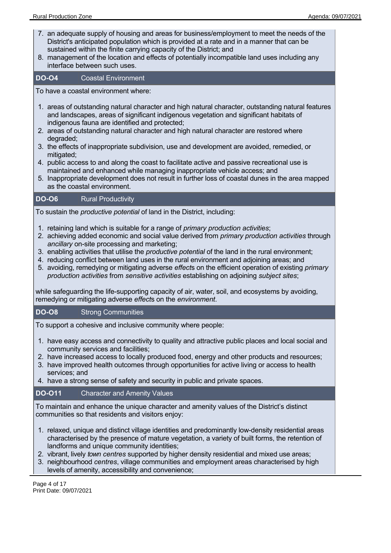- 7. an adequate supply of housing and areas for business/employment to meet the needs of the District's anticipated population which is provided at a rate and in a manner that can be sustained within the finite carrying capacity of the District; and
- 8. management of the location and effects of potentially incompatible land uses including any interface between such uses.

#### **DO-O4** Coastal Environment

To have a coastal environment where:

- 1. areas of outstanding natural character and high natural character, outstanding natural features and landscapes, areas of significant indigenous vegetation and significant habitats of indigenous fauna are identified and protected;
- 2. areas of outstanding natural character and high natural character are restored where degraded;
- 3. the effects of inappropriate subdivision, use and development are avoided, remedied, or mitigated;
- 4. public access to and along the coast to facilitate active and passive recreational use is maintained and enhanced while managing inappropriate vehicle access; and
- 5. Inappropriate development does not result in further loss of coastal dunes in the area mapped as the coastal environment.

# **DO-O6** Rural Productivity

To sustain the *productive potential* of land in the District, including:

- 1. retaining land which is suitable for a range of *primary production activities*;
- 2. achieving added economic and social value derived from *primary production activities* through *ancillary* on-site processing and marketing;
- 3. enabling activities that utilise the *productive potential* of the land in the rural environment;
- 4. reducing conflict between land uses in the rural environment and adjoining areas; and
- 5. avoiding, remedying or mitigating adverse *effect*s on the efficient operation of existing *primary production activities* from *sensitive activities* establishing on adjoining *subject sites*;

while safeguarding the life-supporting capacity of air, water, soil, and ecosystems by avoiding, remedying or mitigating adverse *effect*s on the *environment*.

#### **DO-O8** Strong Communities

To support a cohesive and inclusive community where people:

- 1. have easy access and connectivity to quality and attractive public places and local social and community services and facilities;
- 2. have increased access to locally produced food, energy and other products and resources;
- 3. have improved health outcomes through opportunities for active living or access to health services; and
- 4. have a strong sense of safety and security in public and private spaces.

# **DO-O11** Character and Amenity Values

To maintain and enhance the unique character and amenity values of the District's distinct communities so that residents and visitors enjoy:

- 1. relaxed, unique and distinct village identities and predominantly low-density residential areas characterised by the presence of mature vegetation, a variety of built forms, the retention of landforms and unique community identities;
- 2. vibrant, lively *town centres* supported by higher density residential and mixed use areas;
- 3. neighbourhood *centres*, village communities and employment areas characterised by high levels of amenity, accessibility and convenience;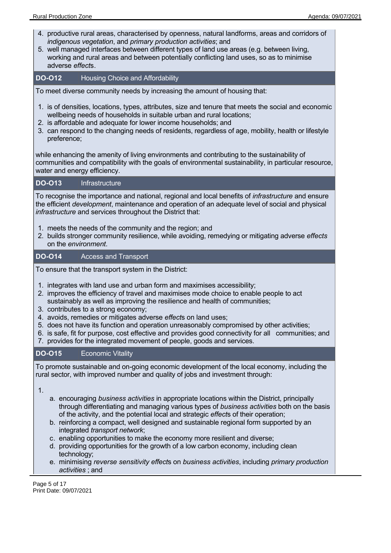- 4. productive rural areas, characterised by openness, natural landforms, areas and corridors of *indigenous vegetation*, and *primary production activities*; and
- 5. well managed interfaces between different types of land use areas (e.g. between living, working and rural areas and between potentially conflicting land uses, so as to minimise adverse *effect*s.

# **DO-O12** Housing Choice and Affordability

To meet diverse community needs by increasing the amount of housing that:

- 1. is of densities, locations, types, attributes, size and tenure that meets the social and economic wellbeing needs of households in suitable urban and rural locations;
- 2. is affordable and adequate for lower income households; and
- 3. can respond to the changing needs of residents, regardless of age, mobility, health or lifestyle preference;

while enhancing the amenity of living environments and contributing to the sustainability of communities and compatibility with the goals of environmental sustainability, in particular resource, water and energy efficiency.

#### **DO-O13** Infrastructure

To recognise the importance and national, regional and local benefits of *infrastructure* and ensure the efficient *development*, maintenance and operation of an adequate level of social and physical *infrastructure* and services throughout the District that:

- 1. meets the needs of the community and the region; and
- 2. builds stronger community resilience, while avoiding, remedying or mitigating adverse *effects* on the *environment*.

#### **DO-O14** Access and Transport

To ensure that the transport system in the District:

- 1. integrates with land use and urban form and maximises accessibility;
- 2. improves the efficiency of travel and maximises mode choice to enable people to act sustainably as well as improving the resilience and health of communities;
- 3. contributes to a strong economy;
- 4. avoids, remedies or mitigates adverse *effect*s on land uses;
- 5. does not have its function and operation unreasonably compromised by other activities;
- 6. is safe, fit for purpose, cost effective and provides good connectivity for all communities; and
- 7. provides for the integrated movement of people, goods and services.

# **DO-O15** Economic Vitality

To promote sustainable and on-going economic development of the local economy, including the rural sector, with improved number and quality of jobs and investment through:

1.

- a. encouraging *business activities* in appropriate locations within the District, principally through differentiating and managing various types of *business activities* both on the basis of the activity, and the potential local and strategic *effect*s of their operation;
- b. reinforcing a compact, well designed and sustainable regional form supported by an integrated *transport network*;
- c. enabling opportunities to make the economy more resilient and diverse;
- d. providing opportunities for the growth of a low carbon economy, including clean technology;
- e. minimising *reverse sensitivity effect*s on *business activities*, including *primary production activities* ; and

Page 5 of 17 Print Date: 09/07/2021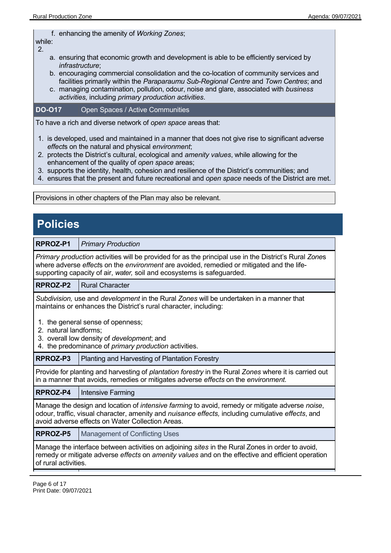f. enhancing the amenity of *Working Zones*;

### while:

- 2.
- a. ensuring that economic growth and development is able to be efficiently serviced by *infrastructure*;
- b. encouraging commercial consolidation and the co-location of community services and facilities primarily within the *Paraparaumu Sub-Regional Centre* and *Town Centres*; and
- c. managing contamination, pollution, odour, noise and glare, associated with *business activities,* including *primary production activities*.

# **DO-O17** Open Spaces / Active Communities

To have a rich and diverse network of *open space* areas that:

- 1. is developed, used and maintained in a manner that does not give rise to significant adverse *effect*s on the natural and physical *environment*;
- 2. protects the District's cultural, ecological and *amenity values*, while allowing for the enhancement of the quality of *open space* areas;
- 3. supports the identity, health, cohesion and resilience of the District's communities; and
- 4. ensures that the present and future recreational and *open space* needs of the District are met.

Provisions in other chapters of the Plan may also be relevant.

# **Policies**

**RPROZ-P1** *Primary Production*

*Primary production* activities will be provided for as the principal use in the District's Rural *Zone*s where adverse *effect*s on the *environment* are avoided, remedied or mitigated and the lifesupporting capacity of air, *water,* soil and ecosystems is safeguarded.

**RPROZ-P2** Rural Character

*Subdivision,* use and *development* in the Rural *Zones* will be undertaken in a manner that maintains or enhances the District's rural character, including:

- 1. the general sense of openness;
- 2. natural landforms;
- 3. overall low density of *development*; and
- 4. the predominance of *primary production* activities.

**RPROZ-P3** | Planting and Harvesting of Plantation Forestry

Provide for planting and harvesting of *plantation forestry* in the Rural *Zones* where it is carried out in a manner that avoids, remedies or mitigates adverse *effects* on the *environment.*

**RPROZ-P4**  Intensive Farming

Manage the design and location of *intensive farming* to avoid, remedy or mitigate adverse *noise*, odour, traffic, visual character, amenity and *nuisance effects,* including cumulative *effects*, and avoid adverse effects on Water Collection Areas.

**RPROZ-P5** | Management of Conflicting Uses

Manage the interface between activities on adjoining *sites* in the Rural Zones in order to avoid, remedy or mitigate adverse *effects* on *amenity values* and on the effective and efficient operation of rural activities.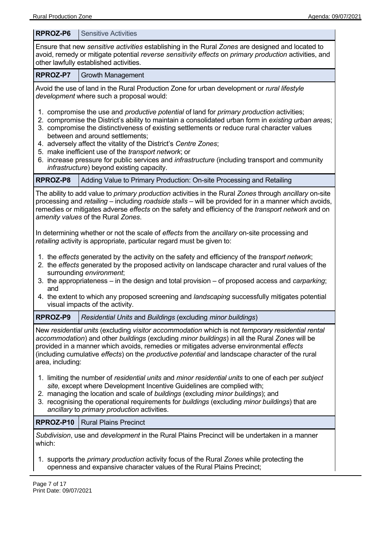| RPROZ-P6                                                                                                                                                                                                                                                                                                                                                                                                                                                                                                                                                                                                               | <b>Sensitive Activities</b>                                                                                                                                            |  |  |
|------------------------------------------------------------------------------------------------------------------------------------------------------------------------------------------------------------------------------------------------------------------------------------------------------------------------------------------------------------------------------------------------------------------------------------------------------------------------------------------------------------------------------------------------------------------------------------------------------------------------|------------------------------------------------------------------------------------------------------------------------------------------------------------------------|--|--|
| Ensure that new sensitive activities establishing in the Rural Zones are designed and located to<br>avoid, remedy or mitigate potential reverse sensitivity effects on primary production activities, and<br>other lawfully established activities.                                                                                                                                                                                                                                                                                                                                                                    |                                                                                                                                                                        |  |  |
| RPROZ-P7                                                                                                                                                                                                                                                                                                                                                                                                                                                                                                                                                                                                               | <b>Growth Management</b>                                                                                                                                               |  |  |
| Avoid the use of land in the Rural Production Zone for urban development or rural lifestyle<br>development where such a proposal would:<br>1. compromise the use and <i>productive potential</i> of land for <i>primary production</i> activities;<br>2. compromise the District's ability to maintain a consolidated urban form in existing urban areas;<br>3. compromise the distinctiveness of existing settlements or reduce rural character values<br>between and around settlements;<br>4. adversely affect the vitality of the District's Centre Zones;<br>5. make inefficient use of the transport network; or |                                                                                                                                                                        |  |  |
|                                                                                                                                                                                                                                                                                                                                                                                                                                                                                                                                                                                                                        | 6. increase pressure for public services and infrastructure (including transport and community<br>infrastructure) beyond existing capacity.                            |  |  |
| RPROZ-P8                                                                                                                                                                                                                                                                                                                                                                                                                                                                                                                                                                                                               | Adding Value to Primary Production: On-site Processing and Retailing                                                                                                   |  |  |
| The ability to add value to <i>primary production</i> activities in the Rural Zones through ancillary on-site<br>processing and retailing – including roadside stalls – will be provided for in a manner which avoids,<br>remedies or mitigates adverse effects on the safety and efficiency of the transport network and on<br>amenity values of the Rural Zones.                                                                                                                                                                                                                                                     |                                                                                                                                                                        |  |  |
|                                                                                                                                                                                                                                                                                                                                                                                                                                                                                                                                                                                                                        | In determining whether or not the scale of effects from the ancillary on-site processing and<br>retailing activity is appropriate, particular regard must be given to: |  |  |
| 1. the effects generated by the activity on the safety and efficiency of the transport network;<br>2. the effects generated by the proposed activity on landscape character and rural values of the<br>surrounding environment;<br>3. the appropriateness – in the design and total provision – of proposed access and <i>carparking</i> ;<br>and                                                                                                                                                                                                                                                                      |                                                                                                                                                                        |  |  |
|                                                                                                                                                                                                                                                                                                                                                                                                                                                                                                                                                                                                                        | 4. the extent to which any proposed screening and landscaping successfully mitigates potential<br>visual impacts of the activity.                                      |  |  |
| RPROZ-P9                                                                                                                                                                                                                                                                                                                                                                                                                                                                                                                                                                                                               | Residential Units and Buildings (excluding minor buildings)                                                                                                            |  |  |
| New residential units (excluding visitor accommodation which is not temporary residential rental<br>accommodation) and other buildings (excluding minor buildings) in all the Rural Zones will be<br>provided in a manner which avoids, remedies or mitigates adverse environmental effects<br>(including cumulative effects) on the productive potential and landscape character of the rural<br>area, including:                                                                                                                                                                                                     |                                                                                                                                                                        |  |  |
| 1. limiting the number of residential units and minor residential units to one of each per subject<br>site, except where Development Incentive Guidelines are complied with;<br>2. managing the location and scale of buildings (excluding minor buildings); and<br>3. recognising the operational requirements for buildings (excluding minor buildings) that are<br>ancillary to primary production activities.                                                                                                                                                                                                      |                                                                                                                                                                        |  |  |
| RPROZ-P10                                                                                                                                                                                                                                                                                                                                                                                                                                                                                                                                                                                                              | <b>Rural Plains Precinct</b>                                                                                                                                           |  |  |
| which:                                                                                                                                                                                                                                                                                                                                                                                                                                                                                                                                                                                                                 | Subdivision, use and development in the Rural Plains Precinct will be undertaken in a manner                                                                           |  |  |
| 1. supports the <i>primary production</i> activity focus of the Rural Zones while protecting the<br>openness and expansive character values of the Rural Plains Precinct;                                                                                                                                                                                                                                                                                                                                                                                                                                              |                                                                                                                                                                        |  |  |

 $\mathbf{I}$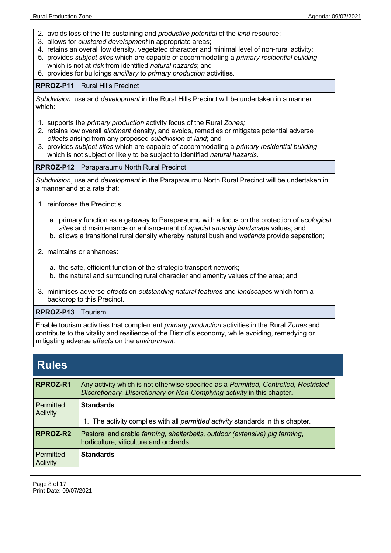- 2. avoids loss of the life sustaining and *productive potential* of the *land* resource;
- 3. allows for *clustered development* in appropriate areas;
- 4. retains an overall low density, vegetated character and minimal level of non-rural activity;
- 5. provides *subject sites* which are capable of accommodating a *primary residential building* which is not at *risk* from identified *natural hazards*; and
- 6. provides for buildings *ancillary* to *primary production* activities.

#### **RPROZ-P11**  Rural Hills Precinct

*Subdivision*, use and *development* in the Rural Hills Precinct will be undertaken in a manner which:

- 1. supports the *primary production* activity focus of the Rural *Zones;*
- 2. retains low overall *allotment* density, and avoids, remedies or mitigates potential adverse *effects* arising from any proposed *subdivision* of *land*; and
- 3. provides *subject sites* which are capable of accommodating a *primary residential building* which is not subject or likely to be subject to identified *natural hazards.*

**RPROZ-P12**  Paraparaumu North Rural Precinct

*Subdivision*, use and *development* in the Paraparaumu North Rural Precinct will be undertaken in a manner and at a rate that:

- 1. reinforces the Precinct's:
	- a. primary function as a gateway to Paraparaumu with a focus on the protection of *ecological site*s and maintenance or enhancement of *special amenity landscape* values; and
	- b. allows a transitional rural density whereby natural bush and *wetlands* provide separation;
- 2. maintains or enhances:
	- a. the safe, efficient function of the strategic transport network;
	- b. the natural and surrounding rural character and amenity values of the area; and
- 3. minimises adverse *effects* on *outstanding natural features* and *landscape*s which form a backdrop to this Precinct.

#### **RPROZ-P13**  Tourism

Enable tourism activities that complement *primary production* activities in the Rural *Zones* and contribute to the vitality and resilience of the District's economy, while avoiding, remedying or mitigating adverse *effects* on the *environment.*

# **Rules**

| RPROZ-R1              | Any activity which is not otherwise specified as a Permitted, Controlled, Restricted<br>Discretionary, Discretionary or Non-Complying-activity in this chapter. |
|-----------------------|-----------------------------------------------------------------------------------------------------------------------------------------------------------------|
| Permitted<br>Activity | <b>Standards</b><br>1. The activity complies with all permitted activity standards in this chapter.                                                             |
| RPROZ-R2              | Pastoral and arable farming, shelterbelts, outdoor (extensive) pig farming,<br>horticulture, viticulture and orchards.                                          |
| Permitted<br>Activity | <b>Standards</b>                                                                                                                                                |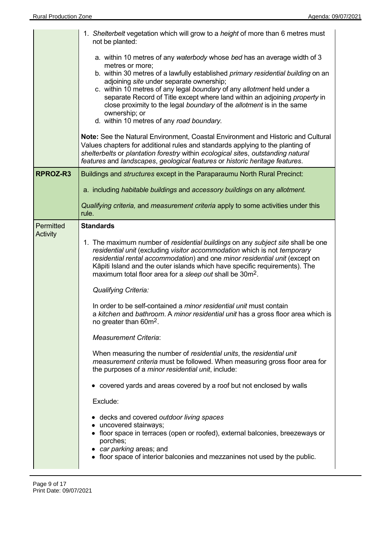|                              | 1. Shelterbelt vegetation which will grow to a height of more than 6 metres must<br>not be planted:                                                                                                                                                                                                                                                                                              |
|------------------------------|--------------------------------------------------------------------------------------------------------------------------------------------------------------------------------------------------------------------------------------------------------------------------------------------------------------------------------------------------------------------------------------------------|
|                              | a. within 10 metres of any waterbody whose bed has an average width of 3<br>metres or more;                                                                                                                                                                                                                                                                                                      |
|                              | b. within 30 metres of a lawfully established primary residential building on an<br>adjoining site under separate ownership;                                                                                                                                                                                                                                                                     |
|                              | c. within 10 metres of any legal boundary of any allotment held under a<br>separate Record of Title except where land within an adjoining property in<br>close proximity to the legal boundary of the allotment is in the same<br>ownership; or<br>d. within 10 metres of any road boundary.                                                                                                     |
|                              | Note: See the Natural Environment, Coastal Environment and Historic and Cultural<br>Values chapters for additional rules and standards applying to the planting of<br>shelterbelts or plantation forestry within ecological sites, outstanding natural<br>features and landscapes, geological features or historic heritage features.                                                            |
| RPROZ-R3                     | Buildings and <i>structures</i> except in the Paraparaumu North Rural Precinct:                                                                                                                                                                                                                                                                                                                  |
|                              | a. including habitable buildings and accessory buildings on any allotment.                                                                                                                                                                                                                                                                                                                       |
|                              | Qualifying criteria, and measurement criteria apply to some activities under this<br>rule.                                                                                                                                                                                                                                                                                                       |
| Permitted<br><b>Activity</b> | <b>Standards</b>                                                                                                                                                                                                                                                                                                                                                                                 |
|                              | 1. The maximum number of residential buildings on any subject site shall be one<br>residential unit (excluding visitor accommodation which is not temporary<br>residential rental accommodation) and one minor residential unit (except on<br>Kāpiti Island and the outer islands which have specific requirements). The<br>maximum total floor area for a sleep out shall be 30m <sup>2</sup> . |
|                              | <b>Qualifying Criteria:</b>                                                                                                                                                                                                                                                                                                                                                                      |
|                              | In order to be self-contained a <i>minor residential unit</i> must contain<br>a kitchen and bathroom. A minor residential unit has a gross floor area which is<br>no greater than 60m <sup>2</sup> .                                                                                                                                                                                             |
|                              | <b>Measurement Criteria:</b>                                                                                                                                                                                                                                                                                                                                                                     |
|                              | When measuring the number of residential units, the residential unit<br>measurement criteria must be followed. When measuring gross floor area for<br>the purposes of a <i>minor residential unit</i> , include:                                                                                                                                                                                 |
|                              | • covered yards and areas covered by a roof but not enclosed by walls                                                                                                                                                                                                                                                                                                                            |
|                              | Exclude:                                                                                                                                                                                                                                                                                                                                                                                         |
|                              | • decks and covered outdoor living spaces<br>uncovered stairways;<br>• floor space in terraces (open or roofed), external balconies, breezeways or<br>porches;<br>• car parking areas; and                                                                                                                                                                                                       |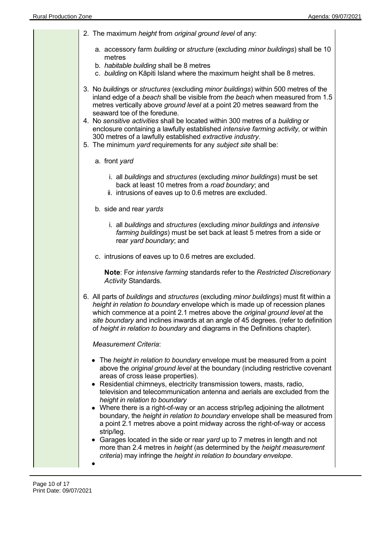| 2. The maximum height from original ground level of any:                                                                                                                                                                                                                                                                                                                                                                   |
|----------------------------------------------------------------------------------------------------------------------------------------------------------------------------------------------------------------------------------------------------------------------------------------------------------------------------------------------------------------------------------------------------------------------------|
| a. accessory farm building or structure (excluding minor buildings) shall be 10<br>metres                                                                                                                                                                                                                                                                                                                                  |
| b. habitable building shall be 8 metres<br>c. building on Kāpiti Island where the maximum height shall be 8 metres.                                                                                                                                                                                                                                                                                                        |
| 3. No buildings or structures (excluding minor buildings) within 500 metres of the<br>inland edge of a beach shall be visible from the beach when measured from 1.5<br>metres vertically above ground level at a point 20 metres seaward from the<br>seaward toe of the foredune.                                                                                                                                          |
| 4. No sensitive activities shall be located within 300 metres of a building or<br>enclosure containing a lawfully established <i>intensive farming activity</i> , or within<br>300 metres of a lawfully established extractive industry.<br>5. The minimum yard requirements for any subject site shall be:                                                                                                                |
| a. front yard                                                                                                                                                                                                                                                                                                                                                                                                              |
| i. all buildings and structures (excluding minor buildings) must be set<br>back at least 10 metres from a road boundary; and<br>ii. intrusions of eaves up to 0.6 metres are excluded.                                                                                                                                                                                                                                     |
| b. side and rear yards                                                                                                                                                                                                                                                                                                                                                                                                     |
| i. all buildings and structures (excluding minor buildings and intensive<br>farming buildings) must be set back at least 5 metres from a side or<br>rear yard boundary; and                                                                                                                                                                                                                                                |
| c. intrusions of eaves up to 0.6 metres are excluded.                                                                                                                                                                                                                                                                                                                                                                      |
| Note: For intensive farming standards refer to the Restricted Discretionary<br>Activity Standards.                                                                                                                                                                                                                                                                                                                         |
| 6. All parts of buildings and structures (excluding minor buildings) must fit within a<br>height in relation to boundary envelope which is made up of recession planes<br>which commence at a point 2.1 metres above the original ground level at the<br>site boundary and inclines inwards at an angle of 45 degrees. (refer to definition<br>of height in relation to boundary and diagrams in the Definitions chapter). |
| <b>Measurement Criteria:</b>                                                                                                                                                                                                                                                                                                                                                                                               |
| • The height in relation to boundary envelope must be measured from a point<br>above the original ground level at the boundary (including restrictive covenant<br>areas of cross lease properties).<br>Residential chimneys, electricity transmission towers, masts, radio,                                                                                                                                                |
| television and telecommunication antenna and aerials are excluded from the<br>height in relation to boundary<br>• Where there is a right-of-way or an access strip/leg adjoining the allotment<br>boundary, the height in relation to boundary envelope shall be measured from<br>a point 2.1 metres above a point midway across the right-of-way or access<br>strip/leg.                                                  |
| Garages located in the side or rear yard up to 7 metres in length and not<br>more than 2.4 metres in height (as determined by the height measurement<br>criteria) may infringe the height in relation to boundary envelope.                                                                                                                                                                                                |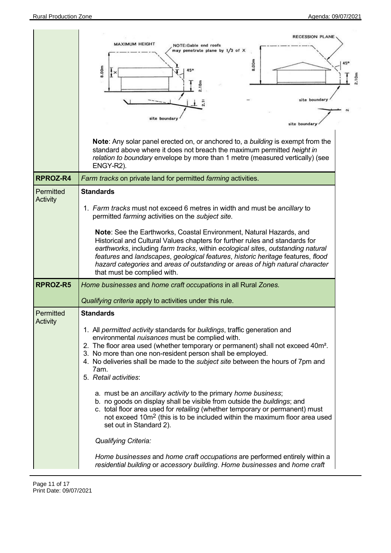| <b>RECESSION PLANE</b>                                                                                                                                                                                                                                                                                                                                                                                                                                                                                                                                                                                                                                                                                                                                                                                                                                                                                                                                                               |                                                                                                                                           |
|--------------------------------------------------------------------------------------------------------------------------------------------------------------------------------------------------------------------------------------------------------------------------------------------------------------------------------------------------------------------------------------------------------------------------------------------------------------------------------------------------------------------------------------------------------------------------------------------------------------------------------------------------------------------------------------------------------------------------------------------------------------------------------------------------------------------------------------------------------------------------------------------------------------------------------------------------------------------------------------|-------------------------------------------------------------------------------------------------------------------------------------------|
| <b>MAXIMUM HEIGHT</b><br>NOTE:Gable end roofs<br>may penetrate plane by 1/3 of X<br>8.00m<br>8.00m<br>$\mathbf{R}^{\star}$<br>2.10m<br>site boundary<br>site boundary<br>site boundary                                                                                                                                                                                                                                                                                                                                                                                                                                                                                                                                                                                                                                                                                                                                                                                               | 2.10m                                                                                                                                     |
| <b>Note:</b> Any solar panel erected on, or anchored to, a <i>building</i> is exempt from the<br>standard above where it does not breach the maximum permitted height in<br>relation to boundary envelope by more than 1 metre (measured vertically) (see<br>ENGY-R2).                                                                                                                                                                                                                                                                                                                                                                                                                                                                                                                                                                                                                                                                                                               |                                                                                                                                           |
| Farm tracks on private land for permitted farming activities.                                                                                                                                                                                                                                                                                                                                                                                                                                                                                                                                                                                                                                                                                                                                                                                                                                                                                                                        |                                                                                                                                           |
| <b>Standards</b><br>1. Farm tracks must not exceed 6 metres in width and must be ancillary to<br>permitted farming activities on the subject site.<br>Note: See the Earthworks, Coastal Environment, Natural Hazards, and<br>Historical and Cultural Values chapters for further rules and standards for<br>earthworks, including farm tracks, within ecological sites, outstanding natural<br>features and landscapes, geological features, historic heritage features, flood                                                                                                                                                                                                                                                                                                                                                                                                                                                                                                       |                                                                                                                                           |
| that must be complied with.                                                                                                                                                                                                                                                                                                                                                                                                                                                                                                                                                                                                                                                                                                                                                                                                                                                                                                                                                          |                                                                                                                                           |
| Home businesses and home craft occupations in all Rural Zones.                                                                                                                                                                                                                                                                                                                                                                                                                                                                                                                                                                                                                                                                                                                                                                                                                                                                                                                       |                                                                                                                                           |
| <b>Standards</b><br>1. All permitted activity standards for buildings, traffic generation and<br>environmental nuisances must be complied with.<br>2. The floor area used (whether temporary or permanent) shall not exceed 40m <sup>2</sup> .<br>3. No more than one non-resident person shall be employed.<br>4. No deliveries shall be made to the <i>subject site</i> between the hours of 7pm and<br>7am.<br>5. Retail activities:<br>a. must be an ancillary activity to the primary home business;<br>b. no goods on display shall be visible from outside the buildings; and<br>c. total floor area used for retailing (whether temporary or permanent) must<br>not exceed 10m <sup>2</sup> (this is to be included within the maximum floor area used<br>set out in Standard 2).<br><b>Qualifying Criteria:</b><br>Home businesses and home craft occupations are performed entirely within a<br>residential building or accessory building. Home businesses and home craft |                                                                                                                                           |
|                                                                                                                                                                                                                                                                                                                                                                                                                                                                                                                                                                                                                                                                                                                                                                                                                                                                                                                                                                                      | hazard categories and areas of outstanding or areas of high natural character<br>Qualifying criteria apply to activities under this rule. |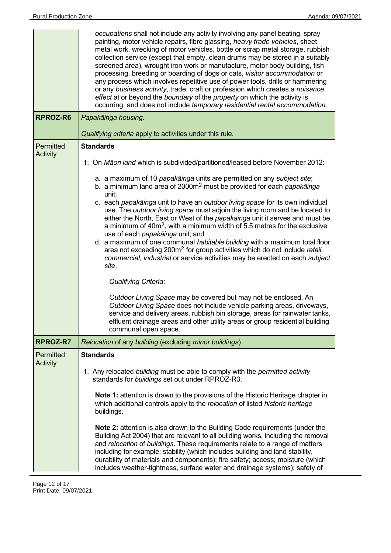|                              | occupations shall not include any activity involving any panel beating, spray<br>painting, motor vehicle repairs, fibre glassing, heavy trade vehicles, sheet<br>metal work, wrecking of motor vehicles, bottle or scrap metal storage, rubbish<br>collection service (except that empty, clean drums may be stored in a suitably<br>screened area), wrought iron work or manufacture, motor body building, fish<br>processing, breeding or boarding of dogs or cats, visitor accommodation or<br>any process which involves repetitive use of power tools, drills or hammering<br>or any business activity, trade, craft or profession which creates a nuisance<br>effect at or beyond the boundary of the property on which the activity is<br>occurring, and does not include temporary residential rental accommodation.                                                                                                                                                                                                                                                                                                                                                                                                                                                               |  |  |
|------------------------------|--------------------------------------------------------------------------------------------------------------------------------------------------------------------------------------------------------------------------------------------------------------------------------------------------------------------------------------------------------------------------------------------------------------------------------------------------------------------------------------------------------------------------------------------------------------------------------------------------------------------------------------------------------------------------------------------------------------------------------------------------------------------------------------------------------------------------------------------------------------------------------------------------------------------------------------------------------------------------------------------------------------------------------------------------------------------------------------------------------------------------------------------------------------------------------------------------------------------------------------------------------------------------------------------|--|--|
| RPROZ-R6                     | Papakāinga housing.                                                                                                                                                                                                                                                                                                                                                                                                                                                                                                                                                                                                                                                                                                                                                                                                                                                                                                                                                                                                                                                                                                                                                                                                                                                                        |  |  |
|                              | Qualifying criteria apply to activities under this rule.                                                                                                                                                                                                                                                                                                                                                                                                                                                                                                                                                                                                                                                                                                                                                                                                                                                                                                                                                                                                                                                                                                                                                                                                                                   |  |  |
| Permitted<br><b>Activity</b> | <b>Standards</b><br>1. On Māori land which is subdivided/partitioned/leased before November 2012:<br>a. a maximum of 10 papakāinga units are permitted on any subject site;<br>b. a minimum land area of 2000m <sup>2</sup> must be provided for each papakainga<br>unit;<br>c. each papakāinga unit to have an outdoor living space for its own individual<br>use. The outdoor living space must adjoin the living room and be located to<br>either the North, East or West of the papakainga unit it serves and must be<br>a minimum of 40m <sup>2</sup> , with a minimum width of 5.5 metres for the exclusive<br>use of each papakainga unit; and<br>d. a maximum of one communal habitable building with a maximum total floor<br>area not exceeding 200m <sup>2</sup> for group activities which do not include retail,<br>commercial, industrial or service activities may be erected on each subject<br>site.<br><b>Qualifying Criteria:</b><br>Outdoor Living Space may be covered but may not be enclosed. An<br>Outdoor Living Space does not include vehicle parking areas, driveways,<br>service and delivery areas, rubbish bin storage, areas for rainwater tanks,<br>effluent drainage areas and other utility areas or group residential building<br>communal open space. |  |  |
| RPROZ-R7                     | Relocation of any building (excluding minor buildings).                                                                                                                                                                                                                                                                                                                                                                                                                                                                                                                                                                                                                                                                                                                                                                                                                                                                                                                                                                                                                                                                                                                                                                                                                                    |  |  |
| Permitted                    | <b>Standards</b>                                                                                                                                                                                                                                                                                                                                                                                                                                                                                                                                                                                                                                                                                                                                                                                                                                                                                                                                                                                                                                                                                                                                                                                                                                                                           |  |  |
| <b>Activity</b>              | 1. Any relocated building must be able to comply with the permitted activity<br>standards for buildings set out under RPROZ-R3.<br>Note 1: attention is drawn to the provisions of the Historic Heritage chapter in<br>which additional controls apply to the relocation of listed historic heritage<br>buildings.<br>Note 2: attention is also drawn to the Building Code requirements (under the<br>Building Act 2004) that are relevant to all building works, including the removal<br>and relocation of buildings. These requirements relate to a range of matters<br>including for example: stability (which includes building and land stability,<br>durability of materials and components); fire safety; access; moisture (which<br>includes weather-tightness, surface water and drainage systems); safety of                                                                                                                                                                                                                                                                                                                                                                                                                                                                    |  |  |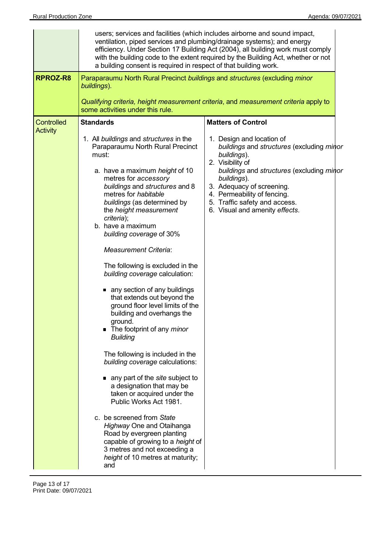|                                      | ventilation, piped services and plumbing/drainage systems); and energy<br>a building consent is required in respect of that building work.                                                                                                                                                                                                                                                                                                                                                                                                                                                                                                                                                                                                                                                                                                                                                                                                                                                                                                              | users; services and facilities (which includes airborne and sound impact,<br>efficiency. Under Section 17 Building Act (2004), all building work must comply<br>with the building code to the extent required by the Building Act, whether or not                                                    |  |  |
|--------------------------------------|---------------------------------------------------------------------------------------------------------------------------------------------------------------------------------------------------------------------------------------------------------------------------------------------------------------------------------------------------------------------------------------------------------------------------------------------------------------------------------------------------------------------------------------------------------------------------------------------------------------------------------------------------------------------------------------------------------------------------------------------------------------------------------------------------------------------------------------------------------------------------------------------------------------------------------------------------------------------------------------------------------------------------------------------------------|------------------------------------------------------------------------------------------------------------------------------------------------------------------------------------------------------------------------------------------------------------------------------------------------------|--|--|
| RPROZ-R8                             | Paraparaumu North Rural Precinct buildings and structures (excluding minor<br>buildings).                                                                                                                                                                                                                                                                                                                                                                                                                                                                                                                                                                                                                                                                                                                                                                                                                                                                                                                                                               |                                                                                                                                                                                                                                                                                                      |  |  |
|                                      | Qualifying criteria, height measurement criteria, and measurement criteria apply to<br>some activities under this rule.                                                                                                                                                                                                                                                                                                                                                                                                                                                                                                                                                                                                                                                                                                                                                                                                                                                                                                                                 |                                                                                                                                                                                                                                                                                                      |  |  |
| <b>Controlled</b><br><b>Activity</b> | <b>Standards</b>                                                                                                                                                                                                                                                                                                                                                                                                                                                                                                                                                                                                                                                                                                                                                                                                                                                                                                                                                                                                                                        | <b>Matters of Control</b>                                                                                                                                                                                                                                                                            |  |  |
|                                      | 1. All buildings and structures in the<br>Paraparaumu North Rural Precinct<br>must:<br>a. have a maximum height of 10<br>metres for accessory<br>buildings and structures and 8<br>metres for habitable<br>buildings (as determined by<br>the height measurement<br>criteria);<br>b. have a maximum<br>building coverage of 30%<br><b>Measurement Criteria:</b><br>The following is excluded in the<br>building coverage calculation:<br>■ any section of any buildings<br>that extends out beyond the<br>ground floor level limits of the<br>building and overhangs the<br>around.<br>• The footprint of any <i>minor</i><br><b>Building</b><br>The following is included in the<br>building coverage calculations:<br>• any part of the site subject to<br>a designation that may be<br>taken or acquired under the<br>Public Works Act 1981.<br>c. be screened from State<br>Highway One and Otaihanga<br>Road by evergreen planting<br>capable of growing to a height of<br>3 metres and not exceeding a<br>height of 10 metres at maturity;<br>and | 1. Design and location of<br>buildings and structures (excluding minor<br>buildings).<br>2. Visibility of<br>buildings and structures (excluding minor<br>buildings).<br>3. Adequacy of screening.<br>4. Permeability of fencing.<br>5. Traffic safety and access.<br>6. Visual and amenity effects. |  |  |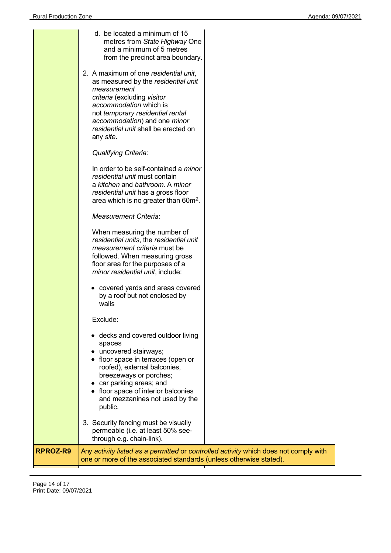|          | d. be located a minimum of 15<br>metres from State Highway One<br>and a minimum of 5 metres<br>from the precinct area boundary.<br>2. A maximum of one residential unit,<br>as measured by the residential unit<br>measurement                                               |  |
|----------|------------------------------------------------------------------------------------------------------------------------------------------------------------------------------------------------------------------------------------------------------------------------------|--|
|          | criteria (excluding visitor<br>accommodation which is<br>not temporary residential rental<br>accommodation) and one minor<br>residential unit shall be erected on<br>any site.                                                                                               |  |
|          | <b>Qualifying Criteria:</b>                                                                                                                                                                                                                                                  |  |
|          | In order to be self-contained a <i>minor</i><br>residential unit must contain<br>a kitchen and bathroom. A minor<br>residential unit has a gross floor<br>area which is no greater than 60m <sup>2</sup> .                                                                   |  |
|          | <b>Measurement Criteria:</b>                                                                                                                                                                                                                                                 |  |
|          | When measuring the number of<br>residential units, the residential unit<br>measurement criteria must be<br>followed. When measuring gross<br>floor area for the purposes of a<br>minor residential unit, include:                                                            |  |
|          | • covered yards and areas covered<br>by a roof but not enclosed by<br>walls                                                                                                                                                                                                  |  |
|          | Exclude:                                                                                                                                                                                                                                                                     |  |
|          | decks and covered outdoor living<br>spaces<br>uncovered stairways;<br>floor space in terraces (open or<br>roofed), external balconies,<br>breezeways or porches;<br>car parking areas; and<br>floor space of interior balconies<br>and mezzanines not used by the<br>public. |  |
|          | 3. Security fencing must be visually<br>permeable (i.e. at least 50% see-<br>through e.g. chain-link).                                                                                                                                                                       |  |
| RPROZ-R9 | Any activity listed as a permitted or controlled activity which does not comply with<br>one or more of the associated standards (unless otherwise stated).                                                                                                                   |  |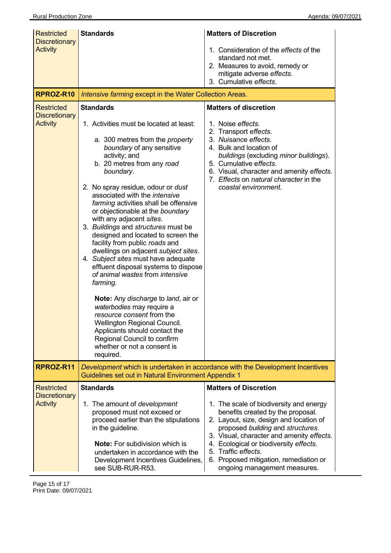| <b>Restricted</b>                                            | <b>Standards</b>                                                                                                                                                                                                                                                                                                                                                                                                                                                                                                                                                                                                                                                                                                                                                                                                                                                                                                        | <b>Matters of Discretion</b>                                                                                                                                                                                                                                                                                     |
|--------------------------------------------------------------|-------------------------------------------------------------------------------------------------------------------------------------------------------------------------------------------------------------------------------------------------------------------------------------------------------------------------------------------------------------------------------------------------------------------------------------------------------------------------------------------------------------------------------------------------------------------------------------------------------------------------------------------------------------------------------------------------------------------------------------------------------------------------------------------------------------------------------------------------------------------------------------------------------------------------|------------------------------------------------------------------------------------------------------------------------------------------------------------------------------------------------------------------------------------------------------------------------------------------------------------------|
| <b>Discretionary</b><br><b>Activity</b>                      |                                                                                                                                                                                                                                                                                                                                                                                                                                                                                                                                                                                                                                                                                                                                                                                                                                                                                                                         | 1. Consideration of the effects of the<br>standard not met.<br>2. Measures to avoid, remedy or<br>mitigate adverse effects.                                                                                                                                                                                      |
|                                                              |                                                                                                                                                                                                                                                                                                                                                                                                                                                                                                                                                                                                                                                                                                                                                                                                                                                                                                                         | 3. Cumulative effects.                                                                                                                                                                                                                                                                                           |
| RPROZ-R10                                                    | Intensive farming except in the Water Collection Areas.                                                                                                                                                                                                                                                                                                                                                                                                                                                                                                                                                                                                                                                                                                                                                                                                                                                                 |                                                                                                                                                                                                                                                                                                                  |
| <b>Restricted</b><br><b>Discretionary</b><br><b>Activity</b> | <b>Standards</b><br>1. Activities must be located at least:<br>a. 300 metres from the <i>property</i><br>boundary of any sensitive<br>activity; and<br>b. 20 metres from any road<br>boundary.<br>2. No spray residue, odour or <i>dust</i><br>associated with the intensive<br>farming activities shall be offensive<br>or objectionable at the boundary<br>with any adjacent sites.<br>3. Buildings and structures must be<br>designed and located to screen the<br>facility from public roads and<br>dwellings on adjacent subject sites.<br>4. Subject sites must have adequate<br>effluent disposal systems to dispose<br>of animal wastes from intensive<br>farming.<br>Note: Any discharge to land, air or<br>waterbodies may require a<br>resource consent from the<br>Wellington Regional Council.<br>Applicants should contact the<br>Regional Council to confirm<br>whether or not a consent is<br>required. | <b>Matters of discretion</b><br>1. Noise effects.<br>2. Transport effects.<br>3. Nuisance effects.<br>4. Bulk and location of<br>buildings (excluding minor buildings).<br>5. Cumulative effects.<br>6. Visual, character and amenity effects.<br>7. Effects on natural character in the<br>coastal environment. |
| RPROZ-R11                                                    | Guidelines set out in Natural Environment Appendix 1                                                                                                                                                                                                                                                                                                                                                                                                                                                                                                                                                                                                                                                                                                                                                                                                                                                                    | Development which is undertaken in accordance with the Development Incentives                                                                                                                                                                                                                                    |
| <b>Restricted</b><br><b>Discretionary</b><br><b>Activity</b> | <b>Standards</b><br>1. The amount of development<br>proposed must not exceed or<br>proceed earlier than the stipulations<br>in the guideline.                                                                                                                                                                                                                                                                                                                                                                                                                                                                                                                                                                                                                                                                                                                                                                           | <b>Matters of Discretion</b><br>1. The scale of biodiversity and energy<br>benefits created by the proposal.<br>2. Layout, size, design and location of<br>proposed building and structures.<br>3. Visual, character and amenity effects.                                                                        |
|                                                              | <b>Note:</b> For subdivision which is<br>undertaken in accordance with the<br>Development Incentives Guidelines,<br>see SUB-RUR-R53.                                                                                                                                                                                                                                                                                                                                                                                                                                                                                                                                                                                                                                                                                                                                                                                    | 4. Ecological or biodiversity effects.<br>5. Traffic effects.<br>6. Proposed mitigation, remediation or<br>ongoing management measures.                                                                                                                                                                          |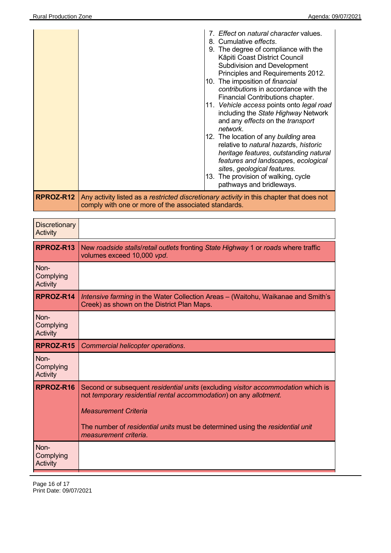|           | 7. Effect on natural character values.<br>8. Cumulative effects.<br>9. The degree of compliance with the<br>Kāpiti Coast District Council<br><b>Subdivision and Development</b><br>Principles and Requirements 2012.<br>10. The imposition of <i>financial</i><br>contributions in accordance with the<br>Financial Contributions chapter.<br>11. Vehicle access points onto legal road<br>including the State Highway Network<br>and any effects on the transport<br>network.<br>12. The location of any building area<br>relative to natural hazards, historic<br>heritage features, outstanding natural<br>features and landscapes, ecological<br>sites, geological features.<br>13. The provision of walking, cycle<br>pathways and bridleways. |
|-----------|-----------------------------------------------------------------------------------------------------------------------------------------------------------------------------------------------------------------------------------------------------------------------------------------------------------------------------------------------------------------------------------------------------------------------------------------------------------------------------------------------------------------------------------------------------------------------------------------------------------------------------------------------------------------------------------------------------------------------------------------------------|
| RPROZ-R12 | Any activity listed as a restricted discretionary activity in this chapter that does not<br>comply with one or more of the associated standards.                                                                                                                                                                                                                                                                                                                                                                                                                                                                                                                                                                                                    |

| <b>Discretionary</b><br>Activity |                                                                                                                                                                                                                                                                                                |
|----------------------------------|------------------------------------------------------------------------------------------------------------------------------------------------------------------------------------------------------------------------------------------------------------------------------------------------|
| RPROZ-R13                        | New roadside stalls/retail outlets fronting State Highway 1 or roads where traffic<br>volumes exceed 10,000 vpd.                                                                                                                                                                               |
| Non-<br>Complying<br>Activity    |                                                                                                                                                                                                                                                                                                |
| RPROZ-R14                        | Intensive farming in the Water Collection Areas - (Waitohu, Waikanae and Smith's<br>Creek) as shown on the District Plan Maps.                                                                                                                                                                 |
| Non-<br>Complying<br>Activity    |                                                                                                                                                                                                                                                                                                |
| RPROZ-R15                        | Commercial helicopter operations.                                                                                                                                                                                                                                                              |
| Non-<br>Complying<br>Activity    |                                                                                                                                                                                                                                                                                                |
| RPROZ-R16                        | Second or subsequent residential units (excluding visitor accommodation which is<br>not temporary residential rental accommodation) on any allotment.<br><b>Measurement Criteria</b><br>The number of residential units must be determined using the residential unit<br>measurement criteria. |
| Non-<br>Complying<br>Activity    |                                                                                                                                                                                                                                                                                                |

Page 16 of 17 Print Date: 09/07/2021